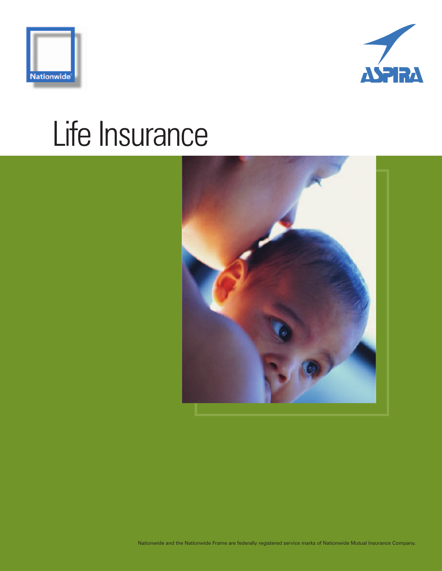



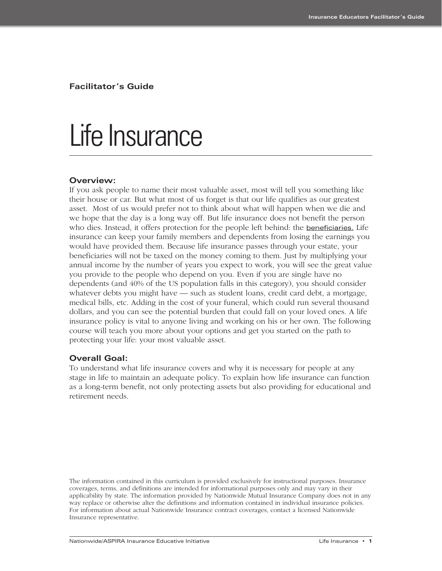**Facilitator's Guide**

## Life Insurance

#### **Overview:**

If you ask people to name their most valuable asset, most will tell you something like their house or car. But what most of us forget is that our life qualifies as our greatest asset. Most of us would prefer not to think about what will happen when we die and we hope that the day is a long way off. But life insurance does not benefit the person who dies. Instead, it offers protection for the people left behind: the **beneficiaries**. Life insurance can keep your family members and dependents from losing the earnings you would have provided them. Because life insurance passes through your estate, your beneficiaries will not be taxed on the money coming to them. Just by multiplying your annual income by the number of years you expect to work, you will see the great value you provide to the people who depend on you. Even if you are single have no dependents (and 40% of the US population falls in this category), you should consider whatever debts you might have — such as student loans, credit card debt, a mortgage, medical bills, etc. Adding in the cost of your funeral, which could run several thousand dollars, and you can see the potential burden that could fall on your loved ones. A life insurance policy is vital to anyone living and working on his or her own. The following course will teach you more about your options and get you started on the path to protecting your life: your most valuable asset.

#### **Overall Goal:**

To understand what life insurance covers and why it is necessary for people at any stage in life to maintain an adequate policy. To explain how life insurance can function as a long-term benefit, not only protecting assets but also providing for educational and retirement needs.

The information contained in this curriculum is provided exclusively for instructional purposes. Insurance coverages, terms, and definitions are intended for informational purposes only and may vary in their applicability by state. The information provided by Nationwide Mutual Insurance Company does not in any way replace or otherwise alter the definitions and information contained in individual insurance policies. For information about actual Nationwide Insurance contract coverages, contact a licensed Nationwide Insurance representative.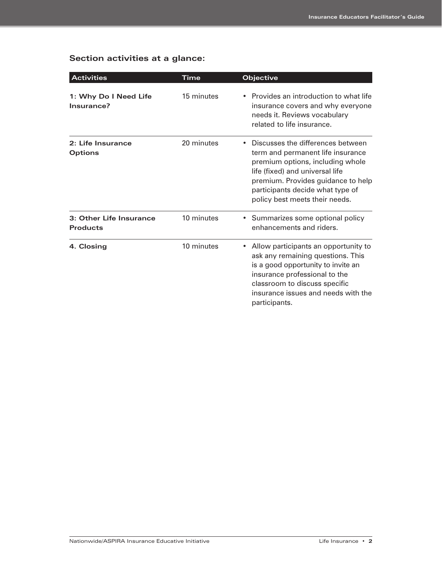### **Section activities at a glance:**

| <b>Activities</b>                          | Time       | Objective                                                                                                                                                                                                                                                 |
|--------------------------------------------|------------|-----------------------------------------------------------------------------------------------------------------------------------------------------------------------------------------------------------------------------------------------------------|
| 1: Why Do I Need Life<br>Insurance?        | 15 minutes | Provides an introduction to what life<br>insurance covers and why everyone<br>needs it. Reviews vocabulary<br>related to life insurance.                                                                                                                  |
| 2: Life Insurance<br><b>Options</b>        | 20 minutes | Discusses the differences between<br>term and permanent life insurance<br>premium options, including whole<br>life (fixed) and universal life<br>premium. Provides guidance to help<br>participants decide what type of<br>policy best meets their needs. |
| 3: Other Life Insurance<br><b>Products</b> | 10 minutes | Summarizes some optional policy<br>$\bullet$<br>enhancements and riders.                                                                                                                                                                                  |
| 4. Closing                                 | 10 minutes | Allow participants an opportunity to<br>ask any remaining questions. This<br>is a good opportunity to invite an<br>insurance professional to the<br>classroom to discuss specific<br>insurance issues and needs with the<br>participants.                 |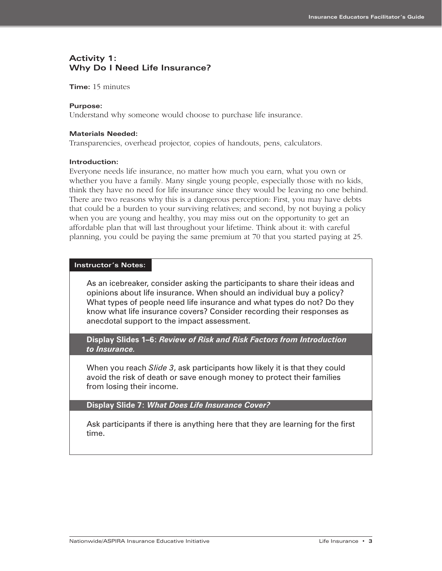#### **Activity 1: Why Do I Need Life Insurance?**

**Time:** 15 minutes

#### **Purpose:**

Understand why someone would choose to purchase life insurance.

#### **Materials Needed:**

Transparencies, overhead projector, copies of handouts, pens, calculators.

#### **Introduction:**

Everyone needs life insurance, no matter how much you earn, what you own or whether you have a family. Many single young people, especially those with no kids, think they have no need for life insurance since they would be leaving no one behind. There are two reasons why this is a dangerous perception: First, you may have debts that could be a burden to your surviving relatives; and second, by not buying a policy when you are young and healthy, you may miss out on the opportunity to get an affordable plan that will last throughout your lifetime. Think about it: with careful planning, you could be paying the same premium at 70 that you started paying at 25.

#### **Instructor's Notes:**

As an icebreaker, consider asking the participants to share their ideas and opinions about life insurance. When should an individual buy a policy? What types of people need life insurance and what types do not? Do they know what life insurance covers? Consider recording their responses as anecdotal support to the impact assessment.

**Display Slides 1–6:** *Review of Risk and Risk Factors from Introduction to Insurance.*

When you reach *Slide 3*, ask participants how likely it is that they could avoid the risk of death or save enough money to protect their families from losing their income.

**Display Slide 7:** *What Does Life Insurance Cover?*

Ask participants if there is anything here that they are learning for the first time.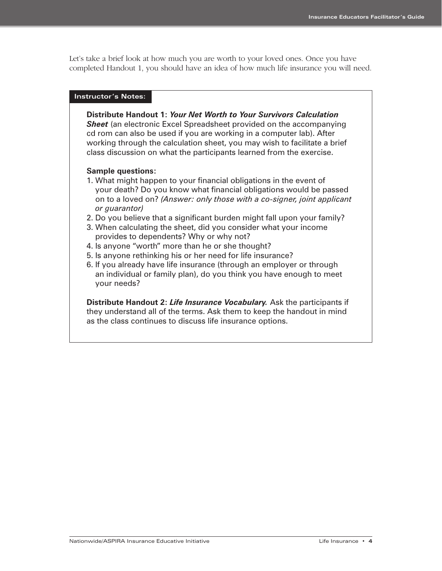Let's take a brief look at how much you are worth to your loved ones. Once you have completed Handout 1, you should have an idea of how much life insurance you will need.

#### **Instructor's Notes:**

**Distribute Handout 1:** *Your Net Worth to Your Survivors Calculation* **Sheet** (an electronic Excel Spreadsheet provided on the accompanying cd rom can also be used if you are working in a computer lab). After working through the calculation sheet, you may wish to facilitate a brief class discussion on what the participants learned from the exercise.

#### **Sample questions:**

- 1. What might happen to your financial obligations in the event of your death? Do you know what financial obligations would be passed on to a loved on? *(Answer: only those with a co-signer, joint applicant or guarantor)*
- 2. Do you believe that a significant burden might fall upon your family?
- 3. When calculating the sheet, did you consider what your income provides to dependents? Why or why not?
- 4. Is anyone "worth" more than he or she thought?
- 5. Is anyone rethinking his or her need for life insurance?
- 6. If you already have life insurance (through an employer or through an individual or family plan), do you think you have enough to meet your needs?

**Distribute Handout 2:** *Life Insurance Vocabulary.* Ask the participants if they understand all of the terms. Ask them to keep the handout in mind as the class continues to discuss life insurance options.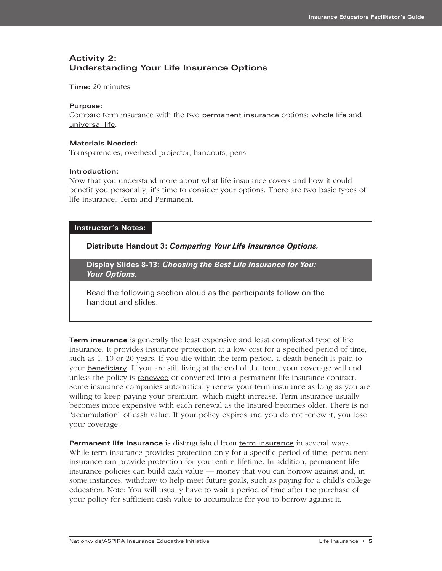### **Activity 2: Understanding Your Life Insurance Options**

**Time:** 20 minutes

#### **Purpose:**

Compare term insurance with the two permanent insurance options: whole life and universal life.

#### **Materials Needed:**

Transparencies, overhead projector, handouts, pens.

#### **Introduction:**

Now that you understand more about what life insurance covers and how it could benefit you personally, it's time to consider your options. There are two basic types of life insurance: Term and Permanent.

#### **Instructor's Notes:**

**Distribute Handout 3:** *Comparing Your Life Insurance Options.*

**Display Slides 8-13:** *Choosing the Best Life Insurance for You: Your Options.* 

Read the following section aloud as the participants follow on the handout and slides.

**Term insurance** is generally the least expensive and least complicated type of life insurance. It provides insurance protection at a low cost for a specified period of time, such as 1, 10 or 20 years. If you die within the term period, a death benefit is paid to your **beneficiary**. If you are still living at the end of the term, your coverage will end unless the policy is renewed or converted into a permanent life insurance contract. Some insurance companies automatically renew your term insurance as long as you are willing to keep paying your premium, which might increase. Term insurance usually becomes more expensive with each renewal as the insured becomes older. There is no "accumulation" of cash value. If your policy expires and you do not renew it, you lose your coverage.

**Permanent life insurance** is distinguished from term insurance in several ways. While term insurance provides protection only for a specific period of time, permanent insurance can provide protection for your entire lifetime. In addition, permanent life insurance policies can build cash value — money that you can borrow against and, in some instances, withdraw to help meet future goals, such as paying for a child's college education. Note: You will usually have to wait a period of time after the purchase of your policy for sufficient cash value to accumulate for you to borrow against it.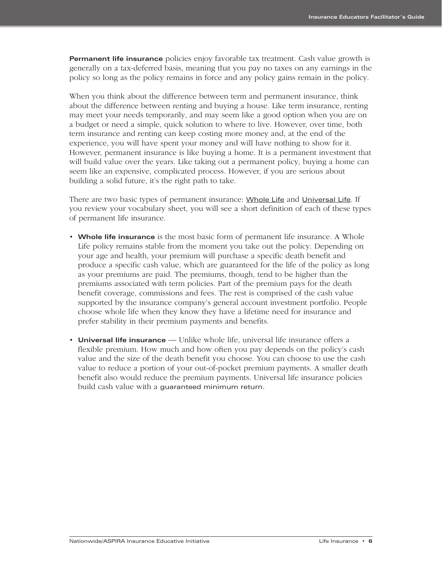**Permanent life insurance** policies enjoy favorable tax treatment. Cash value growth is generally on a tax-deferred basis, meaning that you pay no taxes on any earnings in the policy so long as the policy remains in force and any policy gains remain in the policy.

When you think about the difference between term and permanent insurance, think about the difference between renting and buying a house. Like term insurance, renting may meet your needs temporarily, and may seem like a good option when you are on a budget or need a simple, quick solution to where to live. However, over time, both term insurance and renting can keep costing more money and, at the end of the experience, you will have spent your money and will have nothing to show for it. However, permanent insurance is like buying a home. It is a permanent investment that will build value over the years. Like taking out a permanent policy, buying a home can seem like an expensive, complicated process. However, if you are serious about building a solid future, it's the right path to take.

There are two basic types of permanent insurance: Whole Life and Universal Life. If you review your vocabulary sheet, you will see a short definition of each of these types of permanent life insurance.

- **• Whole life insurance** is the most basic form of permanent life insurance. A Whole Life policy remains stable from the moment you take out the policy. Depending on your age and health, your premium will purchase a specific death benefit and produce a specific cash value, which are guaranteed for the life of the policy as long as your premiums are paid. The premiums, though, tend to be higher than the premiums associated with term policies. Part of the premium pays for the death benefit coverage, commissions and fees. The rest is comprised of the cash value supported by the insurance company's general account investment portfolio. People choose whole life when they know they have a lifetime need for insurance and prefer stability in their premium payments and benefits.
- **Universal life insurance** Unlike whole life, universal life insurance offers a flexible premium. How much and how often you pay depends on the policy's cash value and the size of the death benefit you choose. You can choose to use the cash value to reduce a portion of your out-of-pocket premium payments. A smaller death benefit also would reduce the premium payments. Universal life insurance policies build cash value with a guaranteed minimum return.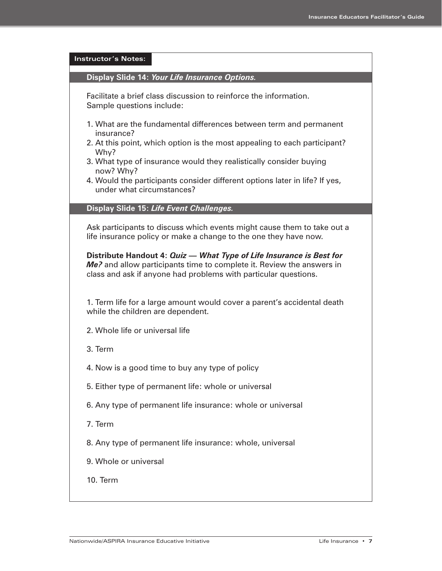| <b>Instructor's Notes:</b>                                                                                                                                                                                                                               |
|----------------------------------------------------------------------------------------------------------------------------------------------------------------------------------------------------------------------------------------------------------|
| Display Slide 14: Your Life Insurance Options.                                                                                                                                                                                                           |
| Facilitate a brief class discussion to reinforce the information.<br>Sample questions include:                                                                                                                                                           |
| 1. What are the fundamental differences between term and permanent<br>insurance?<br>2. At this point, which option is the most appealing to each participant?<br>Why?<br>3. What type of insurance would they realistically consider buying<br>now? Why? |
| 4. Would the participants consider different options later in life? If yes,<br>under what circumstances?                                                                                                                                                 |
| Display Slide 15: Life Event Challenges.                                                                                                                                                                                                                 |
| Ask participants to discuss which events might cause them to take out a<br>life insurance policy or make a change to the one they have now.                                                                                                              |
| Distribute Handout 4: Quiz - What Type of Life Insurance is Best for<br>Me? and allow participants time to complete it. Review the answers in<br>class and ask if anyone had problems with particular questions.                                         |
| 1. Term life for a large amount would cover a parent's accidental death<br>while the children are dependent.                                                                                                                                             |
| 2. Whole life or universal life                                                                                                                                                                                                                          |
| 3. Term                                                                                                                                                                                                                                                  |
| 4. Now is a good time to buy any type of policy                                                                                                                                                                                                          |
| 5. Either type of permanent life: whole or universal                                                                                                                                                                                                     |
| 6. Any type of permanent life insurance: whole or universal                                                                                                                                                                                              |
| 7. Term                                                                                                                                                                                                                                                  |
| 8. Any type of permanent life insurance: whole, universal                                                                                                                                                                                                |
| 9. Whole or universal                                                                                                                                                                                                                                    |
| 10. Term                                                                                                                                                                                                                                                 |
|                                                                                                                                                                                                                                                          |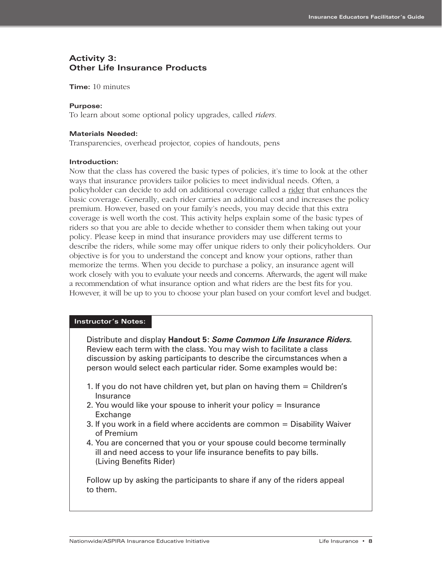#### **Activity 3: Other Life Insurance Products**

**Time:** 10 minutes

#### **Purpose:**

To learn about some optional policy upgrades, called *riders.*

#### **Materials Needed:**

Transparencies, overhead projector, copies of handouts, pens

#### **Introduction:**

Now that the class has covered the basic types of policies, it's time to look at the other ways that insurance providers tailor policies to meet individual needs. Often, a policyholder can decide to add on additional coverage called a rider that enhances the basic coverage. Generally, each rider carries an additional cost and increases the policy premium. However, based on your family's needs, you may decide that this extra coverage is well worth the cost. This activity helps explain some of the basic types of riders so that you are able to decide whether to consider them when taking out your policy. Please keep in mind that insurance providers may use different terms to describe the riders, while some may offer unique riders to only their policyholders. Our objective is for you to understand the concept and know your options, rather than memorize the terms. When you decide to purchase a policy, an insurance agent will work closely with you to evaluate your needs and concerns. Afterwards, the agent will make a recommendation of what insurance option and what riders are the best fits for you. However, it will be up to you to choose your plan based on your comfort level and budget.

#### **Instructor's Notes:**

Distribute and display **Handout 5:** *Some Common Life Insurance Riders.* Review each term with the class. You may wish to facilitate a class discussion by asking participants to describe the circumstances when a person would select each particular rider. Some examples would be:

- 1. If you do not have children yet, but plan on having them = Children's Insurance
- 2. You would like your spouse to inherit your policy = Insurance **Exchange**
- 3. If you work in a field where accidents are common = Disability Waiver of Premium
- 4. You are concerned that you or your spouse could become terminally ill and need access to your life insurance benefits to pay bills. (Living Benefits Rider)

Follow up by asking the participants to share if any of the riders appeal to them.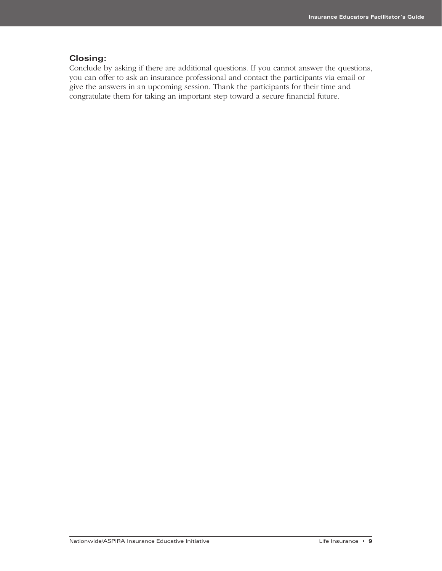#### **Closing:**

Conclude by asking if there are additional questions. If you cannot answer the questions, you can offer to ask an insurance professional and contact the participants via email or give the answers in an upcoming session. Thank the participants for their time and congratulate them for taking an important step toward a secure financial future.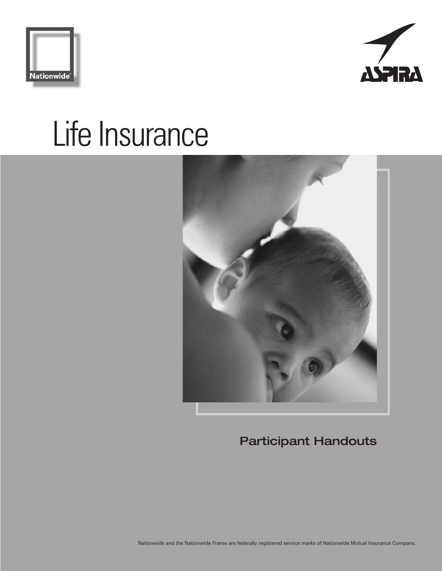





**Participant Handouts**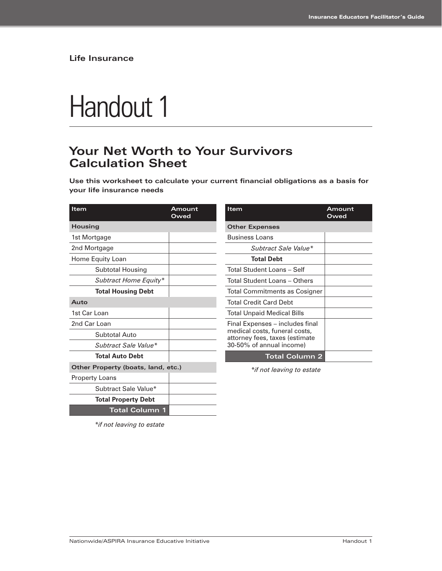# Handout 1

### **Your Net Worth to Your Survivors Calculation Sheet**

**Use this worksheet to calculate your current financial obligations as a basis for your life insurance needs**

| Item                               | Amount<br>Owed | Item                                                                                        | Amount<br>Owed |
|------------------------------------|----------------|---------------------------------------------------------------------------------------------|----------------|
| Housing                            |                | <b>Other Expenses</b>                                                                       |                |
| 1st Mortgage                       |                | <b>Business Loans</b>                                                                       |                |
| 2nd Mortgage                       |                | Subtract Sale Value*                                                                        |                |
| Home Equity Loan                   |                | <b>Total Debt</b>                                                                           |                |
| Subtotal Housing                   |                | Total Student Loans - Self                                                                  |                |
| Subtract Home Equity*              |                | Total Student Loans - Others                                                                |                |
| <b>Total Housing Debt</b>          |                | Total Commitments as Cosigner                                                               |                |
| Auto                               |                | <b>Total Credit Card Debt</b>                                                               |                |
| 1st Car Loan                       |                | <b>Total Unpaid Medical Bills</b>                                                           |                |
| 2nd Car Loan                       |                | Final Expenses - includes final                                                             |                |
| Subtotal Auto                      |                | medical costs, funeral costs,<br>attorney fees, taxes (estimate<br>30-50% of annual income) |                |
| Subtract Sale Value*               |                |                                                                                             |                |
| <b>Total Auto Debt</b>             |                | <b>Total Column 2</b>                                                                       |                |
| Other Property (boats, land, etc.) |                | *if not leaving to estate                                                                   |                |
| <b>Property Loans</b>              |                |                                                                                             |                |
| Subtract Sale Value*               |                |                                                                                             |                |
| <b>Total Property Debt</b>         |                |                                                                                             |                |
| <b>Total Column 1</b>              |                |                                                                                             |                |

*\*if not leaving to estate*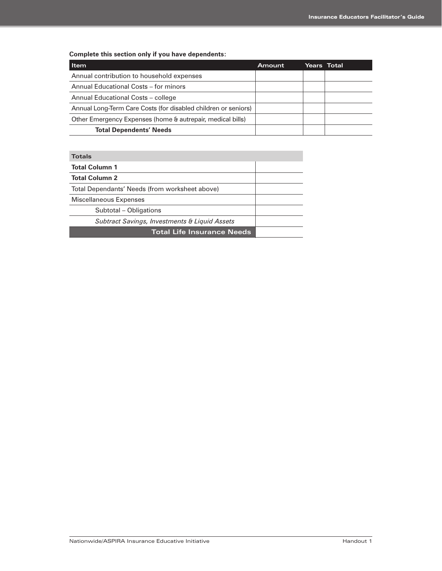**Complete this section only if you have dependents:**

| Item                                                           | Amount | Years Total |
|----------------------------------------------------------------|--------|-------------|
| Annual contribution to household expenses                      |        |             |
| Annual Educational Costs – for minors                          |        |             |
| Annual Educational Costs - college                             |        |             |
| Annual Long-Term Care Costs (for disabled children or seniors) |        |             |
| Other Emergency Expenses (home & autrepair, medical bills)     |        |             |
| <b>Total Dependents' Needs</b>                                 |        |             |

| <b>Totals</b>                                            |  |
|----------------------------------------------------------|--|
| <b>Total Column 1</b>                                    |  |
| <b>Total Column 2</b>                                    |  |
| Total Dependants' Needs (from worksheet above)           |  |
| Miscellaneous Expenses                                   |  |
| Subtotal – Obligations                                   |  |
| <b>Subtract Savings, Investments &amp; Liquid Assets</b> |  |
| <b>Total Life Insurance Needs</b>                        |  |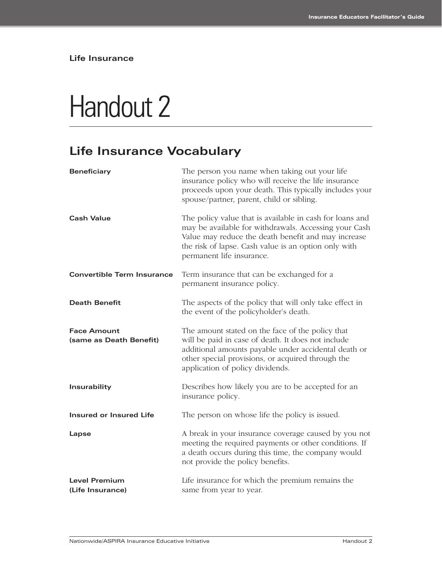# Handout 2

### **Life Insurance Vocabulary**

| <b>Beneficiary</b>                            | The person you name when taking out your life<br>insurance policy who will receive the life insurance<br>proceeds upon your death. This typically includes your<br>spouse/partner, parent, child or sibling.                                                  |
|-----------------------------------------------|---------------------------------------------------------------------------------------------------------------------------------------------------------------------------------------------------------------------------------------------------------------|
| <b>Cash Value</b>                             | The policy value that is available in cash for loans and<br>may be available for withdrawals. Accessing your Cash<br>Value may reduce the death benefit and may increase<br>the risk of lapse. Cash value is an option only with<br>permanent life insurance. |
| <b>Convertible Term Insurance</b>             | Term insurance that can be exchanged for a<br>permanent insurance policy.                                                                                                                                                                                     |
| <b>Death Benefit</b>                          | The aspects of the policy that will only take effect in<br>the event of the policyholder's death.                                                                                                                                                             |
| <b>Face Amount</b><br>(same as Death Benefit) | The amount stated on the face of the policy that<br>will be paid in case of death. It does not include<br>additional amounts payable under accidental death or<br>other special provisions, or acquired through the<br>application of policy dividends.       |
| Insurability                                  | Describes how likely you are to be accepted for an<br>insurance policy.                                                                                                                                                                                       |
| <b>Insured or Insured Life</b>                | The person on whose life the policy is issued.                                                                                                                                                                                                                |
| Lapse                                         | A break in your insurance coverage caused by you not<br>meeting the required payments or other conditions. If<br>a death occurs during this time, the company would<br>not provide the policy benefits.                                                       |
| <b>Level Premium</b><br>(Life Insurance)      | Life insurance for which the premium remains the<br>same from year to year.                                                                                                                                                                                   |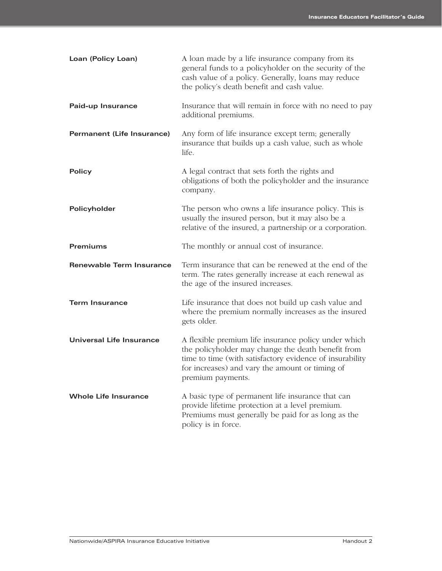| Loan (Policy Loan)              | A loan made by a life insurance company from its<br>general funds to a policyholder on the security of the<br>cash value of a policy. Generally, loans may reduce<br>the policy's death benefit and cash value.                                |
|---------------------------------|------------------------------------------------------------------------------------------------------------------------------------------------------------------------------------------------------------------------------------------------|
| Paid-up Insurance               | Insurance that will remain in force with no need to pay<br>additional premiums.                                                                                                                                                                |
| Permanent (Life Insurance)      | Any form of life insurance except term; generally<br>insurance that builds up a cash value, such as whole<br>life.                                                                                                                             |
| <b>Policy</b>                   | A legal contract that sets forth the rights and<br>obligations of both the policyholder and the insurance<br>company.                                                                                                                          |
| Policyholder                    | The person who owns a life insurance policy. This is<br>usually the insured person, but it may also be a<br>relative of the insured, a partnership or a corporation.                                                                           |
| <b>Premiums</b>                 | The monthly or annual cost of insurance.                                                                                                                                                                                                       |
| <b>Renewable Term Insurance</b> | Term insurance that can be renewed at the end of the<br>term. The rates generally increase at each renewal as<br>the age of the insured increases.                                                                                             |
| <b>Term Insurance</b>           | Life insurance that does not build up cash value and<br>where the premium normally increases as the insured<br>gets older.                                                                                                                     |
| Universal Life Insurance        | A flexible premium life insurance policy under which<br>the policyholder may change the death benefit from<br>time to time (with satisfactory evidence of insurability<br>for increases) and vary the amount or timing of<br>premium payments. |
| <b>Whole Life Insurance</b>     | A basic type of permanent life insurance that can<br>provide lifetime protection at a level premium.<br>Premiums must generally be paid for as long as the<br>policy is in force.                                                              |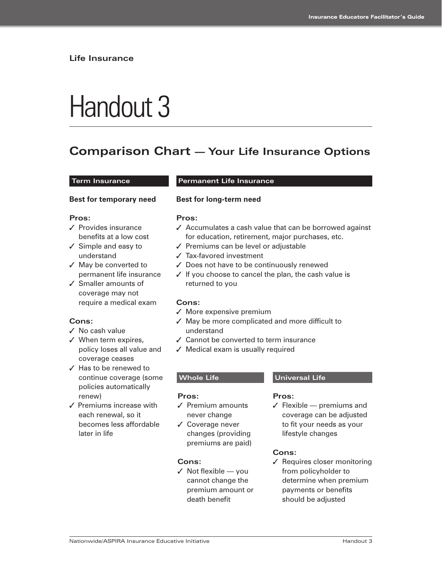# Handout 3

### **Comparison Chart — Your Life Insurance Options**

#### **Term Insurance Permanent Life Insurance**

#### **Best for temporary need**

#### **Pros:**

- ✓ Provides insurance benefits at a low cost
- ✓ Simple and easy to understand
- ✓ May be converted to permanent life insurance
- ✓ Smaller amounts of coverage may not require a medical exam

#### **Cons:**

- ✓ No cash value
- ✓ When term expires, policy loses all value and coverage ceases
- ✓ Has to be renewed to continue coverage (some policies automatically renew)
- ✓ Premiums increase with each renewal, so it becomes less affordable later in life

#### **Best for long-term need**

#### **Pros:**

- ✓ Accumulates a cash value that can be borrowed against for education, retirement, major purchases, etc.
- ✓ Premiums can be level or adjustable
- ✓ Tax-favored investment
- ✓ Does not have to be continuously renewed
- ✓ If you choose to cancel the plan, the cash value is returned to you

#### **Cons:**

- ✓ More expensive premium
- ✓ May be more complicated and more difficult to understand
- ✓ Cannot be converted to term insurance
- ✓ Medical exam is usually required

#### **Pros:**

- ✓ Premium amounts never change
- ✓ Coverage never changes (providing premiums are paid)

#### **Cons:**

 $\checkmark$  Not flexible — you cannot change the premium amount or death benefit

#### **Whole Life Communist Communist Universal Life**

#### **Pros:**

 $\checkmark$  Flexible — premiums and coverage can be adjusted to fit your needs as your lifestyle changes

#### **Cons:**

✓ Requires closer monitoring from policyholder to determine when premium payments or benefits should be adjusted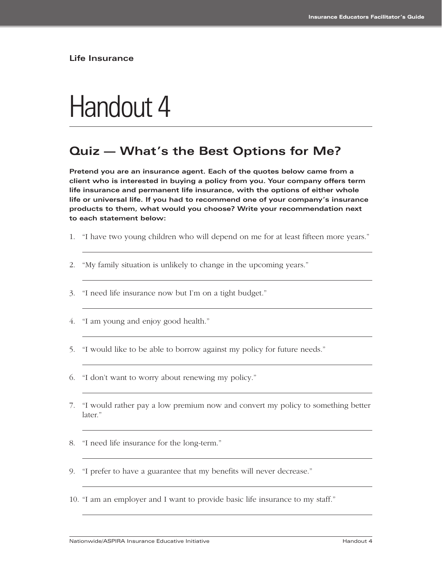## Handout 4

### **Quiz — What's the Best Options for Me?**

**Pretend you are an insurance agent. Each of the quotes below came from a client who is interested in buying a policy from you. Your company offers term life insurance and permanent life insurance, with the options of either whole life or universal life. If you had to recommend one of your company's insurance products to them, what would you choose? Write your recommendation next to each statement below:**

- 1. "I have two young children who will depend on me for at least fifteen more years."
- 2. "My family situation is unlikely to change in the upcoming years."
- 3. "I need life insurance now but I'm on a tight budget."
- 4. "I am young and enjoy good health."
- 5. "I would like to be able to borrow against my policy for future needs."
- 6. "I don't want to worry about renewing my policy."
- 7. "I would rather pay a low premium now and convert my policy to something better later."
- 8. "I need life insurance for the long-term."
- 9. "I prefer to have a guarantee that my benefits will never decrease."
- 10. "I am an employer and I want to provide basic life insurance to my staff."

Nationwide/ASPIRA Insurance Educative Initiative Handout 4